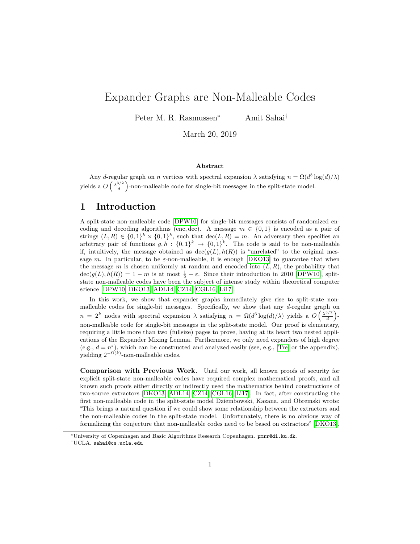# Expander Graphs are Non-Malleable Codes

Peter M. R. Rasmussen<sup>∗</sup> Amit Sahai†

March 20, 2019

#### Abstract

Any d-regular graph on n vertices with spectral expansion  $\lambda$  satisfying  $n = \Omega(d^3 \log(d)/\lambda)$ yields a  $O\left(\frac{\lambda^{3/2}}{d}\right)$  $\frac{d^{3/2}}{d}$ )-non-malleable code for single-bit messages in the split-state model.

### 1 Introduction

A split-state non-malleable code [\[DPW10\]](#page-5-0) for single-bit messages consists of randomized encoding and decoding algorithms (enc, dec). A message  $m \in \{0,1\}$  is encoded as a pair of strings  $(L, R) \in \{0, 1\}^k \times \{0, 1\}^k$ , such that  $\text{dec}(L, R) = m$ . An adversary then specifies an arbitrary pair of functions  $g, h: \{0,1\}^k \to \{0,1\}^k$ . The code is said to be non-malleable if, intuitively, the message obtained as  $\text{dec}(g(L), h(R))$  is "unrelated" to the original message m. In particular, to be  $\varepsilon$ -non-malleable, it is enough [\[DKO13\]](#page-5-1) to guarantee that when the message m is chosen uniformly at random and encoded into  $(L, R)$ , the probability that  $\operatorname{dec}(g(L), h(R)) = 1 - m$  is at most  $\frac{1}{2} + \varepsilon$ . Since their introduction in 2010 [\[DPW10\]](#page-5-0), splitstate non-malleable codes have been the subject of intense study within theoretical computer science [\[DPW10,](#page-5-0) [DKO13,](#page-5-1) [ADL14,](#page-5-2) [CZ14,](#page-5-3) [CGL16,](#page-5-4) [Li17\]](#page-5-5).

In this work, we show that expander graphs immediately give rise to split-state nonmalleable codes for single-bit messages. Specifically, we show that any d-regular graph on  $n = 2<sup>k</sup>$  nodes with spectral expansion  $\lambda$  satisfying  $n = \Omega(d^3 \log(d)/\lambda)$  yields a  $O\left(\frac{\lambda^{3/2}}{d}\right)$  $rac{3/2}{d}$  )non-malleable code for single-bit messages in the split-state model. Our proof is elementary, requiring a little more than two (fullsize) pages to prove, having at its heart two nested applications of the Expander Mixing Lemma. Furthermore, we only need expanders of high degree (e.g.,  $d = n^{\epsilon}$ ), which can be constructed and analyzed easily (see, e.g., [\[Tre\]](#page-5-6) or the appendix), yielding  $2^{-\Omega(k)}$ -non-malleable codes.

Comparison with Previous Work. Until our work, all known proofs of security for explicit split-state non-malleable codes have required complex mathematical proofs, and all known such proofs either directly or indirectly used the mathematics behind constructions of two-source extractors [\[DKO13,](#page-5-1) [ADL14,](#page-5-2) [CZ14,](#page-5-3) [CGL16,](#page-5-4) [Li17\]](#page-5-5). In fact, after constructing the first non-malleable code in the split-state model Dziembowski, Kazana, and Obremski wrote: "This brings a natural question if we could show some relationship between the extractors and the non-malleable codes in the split-state model. Unfortunately, there is no obvious way of formalizing the conjecture that non-malleable codes need to be based on extractors" [\[DKO13\]](#page-5-1).

<sup>∗</sup>University of Copenhagen and Basic Algorithms Research Copenhagen. pmrr@di.ku.dk.

<sup>†</sup>UCLA. sahai@cs.ucla.edu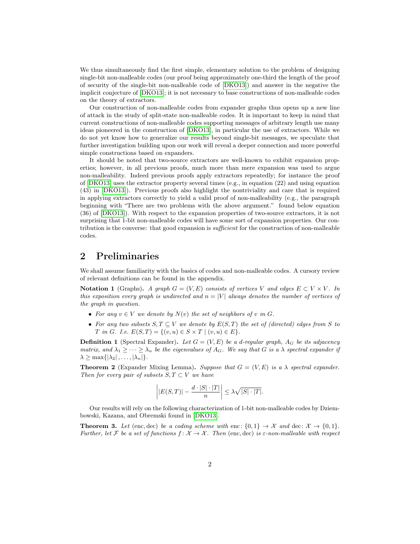We thus simultaneously find the first simple, elementary solution to the problem of designing single-bit non-malleable codes (our proof being approximately one-third the length of the proof of security of the single-bit non-malleable code of [\[DKO13\]](#page-5-1)) and answer in the negative the implicit conjecture of [\[DKO13\]](#page-5-1); it is not necessary to base constructions of non-malleable codes on the theory of extractors.

Our construction of non-malleable codes from expander graphs thus opens up a new line of attack in the study of split-state non-malleable codes. It is important to keep in mind that current constructions of non-malleable codes supporting messages of arbitrary length use many ideas pioneered in the construction of [\[DKO13\]](#page-5-1), in particular the use of extractors. While we do not yet know how to generalize our results beyond single-bit messages, we speculate that further investigation building upon our work will reveal a deeper connection and more powerful simple constructions based on expanders.

It should be noted that two-source extractors are well-known to exhibit expansion properties; however, in all previous proofs, much more than mere expansion was used to argue non-malleability. Indeed previous proofs apply extractors repeatedly; for instance the proof of [\[DKO13\]](#page-5-1) uses the extractor property several times (e.g., in equation (22) and using equation (43) in [\[DKO13\]](#page-5-1)). Previous proofs also highlight the nontriviality and care that is required in applying extractors correctly to yield a valid proof of non-malleability (e.g., the paragraph beginning with "There are two problems with the above argument." found below equation (36) of [\[DKO13\]](#page-5-1)). With respect to the expansion properties of two-source extractors, it is not surprising that 1-bit non-malleable codes will have some sort of expansion properties. Our contribution is the converse: that good expansion is *sufficient* for the construction of non-malleable codes.

# 2 Preliminaries

We shall assume familiarity with the basics of codes and non-malleable codes. A cursory review of relevant definitions can be found in the appendix.

Notation 1 (Graphs). A graph  $G = (V, E)$  consists of vertices V and edges  $E \subset V \times V$ . In this exposition every graph is undirected and  $n = |V|$  always denotes the number of vertices of the graph in question.

- For any  $v \in V$  we denote by  $N(v)$  the set of neighbors of v in G.
- For any two subsets  $S, T \subseteq V$  we denote by  $E(S,T)$  the set of (directed) edges from S to T in G. I.e.  $E(S,T) = \{(v, u) \in S \times T \mid (v, u) \in E\}.$

**Definition 1** (Spectral Expander). Let  $G = (V, E)$  be a d-regular graph,  $A_G$  be its adjacency matrix, and  $\lambda_1 \geq \cdots \geq \lambda_n$  be the eigenvalues of  $A_G$ . We say that G is a  $\lambda$  spectral expander if  $\lambda \geq \max\{|\lambda_2|, \ldots, |\lambda_n|\}.$ 

**Theorem 2** (Expander Mixing Lemma). Suppose that  $G = (V, E)$  is a  $\lambda$  spectral expander. Then for every pair of subsets  $S, T \subset V$  we have

$$
\left| |E(S,T)| - \frac{d \cdot |S| \cdot |T|}{n} \right| \leq \lambda \sqrt{|S| \cdot |T|}.
$$

Our results will rely on the following characterization of 1-bit non-malleable codes by Dziembowski, Kazana, and Obremski found in [\[DKO13\]](#page-5-1).

<span id="page-1-0"></span>**Theorem 3.** Let (enc, dec) be a coding scheme with enc:  $\{0,1\} \rightarrow \mathcal{X}$  and dec:  $\mathcal{X} \rightarrow \{0,1\}$ . Further, let F be a set of functions  $f: \mathcal{X} \to \mathcal{X}$ . Then (enc, dec) is  $\varepsilon$ -non-malleable with respect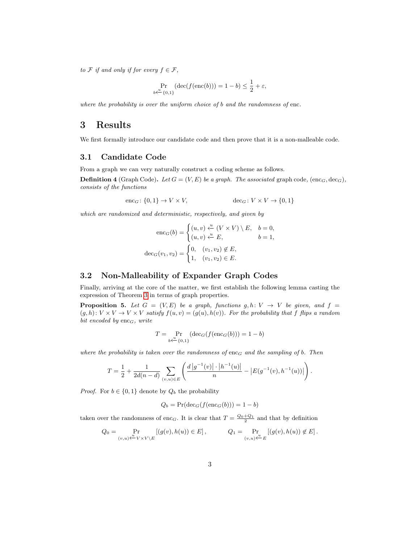to F if and only if for every  $f \in \mathcal{F}$ ,

$$
\Pr_{b \xleftarrow{u} \{0,1\}} (\text{dec}(f(\text{enc}(b))) = 1 - b) \le \frac{1}{2} + \varepsilon,
$$

where the probability is over the uniform choice of b and the randomness of enc.

### 3 Results

We first formally introduce our candidate code and then prove that it is a non-malleable code.

#### 3.1 Candidate Code

From a graph we can very naturally construct a coding scheme as follows.

**Definition 4** (Graph Code). Let  $G = (V, E)$  be a graph. The associated graph code,  $(\text{enc}_G, \text{dec}_G)$ , consists of the functions

$$
\mathrm{enc}_G \colon \{0,1\} \to V \times V, \qquad \qquad \mathrm{dec}_G \colon V \times V \to \{0,1\}
$$

which are randomized and deterministic, respectively, and given by

$$
\text{enc}_G(b) = \begin{cases} (u, v) \xleftarrow{u} (V \times V) \setminus E, & b = 0, \\ (u, v) \xleftarrow{u} E, & b = 1, \end{cases}
$$

$$
\text{dec}_G(v_1, v_2) = \begin{cases} 0, & (v_1, v_2) \notin E, \\ 1, & (v_1, v_2) \in E. \end{cases}
$$

### 3.2 Non-Malleability of Expander Graph Codes

Finally, arriving at the core of the matter, we first establish the following lemma casting the expression of Theorem [3](#page-1-0) in terms of graph properties.

<span id="page-2-0"></span>**Proposition 5.** Let  $G = (V, E)$  be a graph, functions  $g, h: V \rightarrow V$  be given, and  $f =$  $(g,h): V \times V \to V \times V$  satisfy  $f(u,v) = (g(u), h(v))$ . For the probability that f flips a random bit encoded by  $enc_G$ , write

$$
T = \Pr_{b \leftarrow \{0,1\}} (\text{dec}_G(f(\text{enc}_G(b))) = 1 - b)
$$

where the probability is taken over the randomness of enc<sub>G</sub> and the sampling of b. Then

$$
T = \frac{1}{2} + \frac{1}{2d(n-d)} \sum_{(v,u) \in E} \left( \frac{d|g^{-1}(v)| \cdot |h^{-1}(u)|}{n} - |E(g^{-1}(v), h^{-1}(u))| \right).
$$

*Proof.* For  $b \in \{0, 1\}$  denote by  $Q_b$  the probability

$$
Q_b = \Pr(\text{dec}_G(f(\text{enc}_G(b))) = 1 - b)
$$

taken over the randomness of enc<sub>G</sub>. It is clear that  $T = \frac{Q_0 + Q_1}{2}$  and that by definition

$$
Q_0 = \Pr_{(v,u)\stackrel{u}{\leftarrow}V\times V\setminus E} [(g(v),h(u)) \in E], \qquad Q_1 = \Pr_{(v,u)\stackrel{u}{\leftarrow}E} [(g(v),h(u)) \notin E].
$$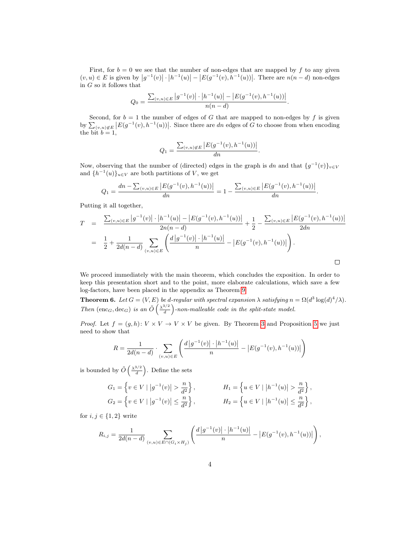First, for  $b = 0$  we see that the number of non-edges that are mapped by f to any given  $(v, u) \in E$  is given by  $|g^{-1}(v)| \cdot |h^{-1}(u)| - |E(g^{-1}(v), h^{-1}(u))|$ . There are  $n(n-d)$  non-edges in  $G$  so it follows that

$$
Q_0 = \frac{\sum_{(v,u)\in E} |g^{-1}(v)| \cdot |h^{-1}(u)| - |E(g^{-1}(v), h^{-1}(u))|}{n(n-d)}.
$$

Second, for  $b = 1$  the number of edges of G that are mapped to non-edges by f is given by  $\sum_{(v,u)\notin E} |E(g^{-1}(v),h^{-1}(u))|$ . Since there are dn edges of G to choose from when encoding the bit  $b=1$ ,

$$
Q_1 = \frac{\sum_{(v,u)\notin E} |E(g^{-1}(v), h^{-1}(u))|}{dn}.
$$

Now, observing that the number of (directed) edges in the graph is dn and that  $\{g^{-1}(v)\}_{v\in V}$ and  $\{h^{-1}(u)\}_{u\in V}$  are both partitions of V, we get

$$
Q_1 = \frac{dn - \sum_{(v,u)\in E} |E(g^{-1}(v), h^{-1}(u))|}{dn} = 1 - \frac{\sum_{(v,u)\in E} |E(g^{-1}(v), h^{-1}(u))|}{dn}.
$$

Putting it all together,

$$
T = \frac{\sum_{(v,u)\in E} |g^{-1}(v)| \cdot |h^{-1}(u)| - |E(g^{-1}(v), h^{-1}(u))|}{2n(n-d)} + \frac{1}{2} - \frac{\sum_{(v,u)\in E} |E(g^{-1}(v), h^{-1}(u))|}{2dn}
$$
  

$$
= \frac{1}{2} + \frac{1}{2d(n-d)} \sum_{(v,u)\in E} \left( \frac{d |g^{-1}(v)| \cdot |h^{-1}(u)|}{n} - |E(g^{-1}(v), h^{-1}(u))| \right).
$$

We proceed immediately with the main theorem, which concludes the exposition. In order to keep this presentation short and to the point, more elaborate calculations, which save a few log-factors, have been placed in the appendix as Theorem [9.](#page-6-0)

<span id="page-3-0"></span>**Theorem 6.** Let  $G = (V, E)$  be d-regular with spectral expansion  $\lambda$  satisfying  $n = \Omega(d^3 \log(d)^4/\lambda)$ . Then  $(\text{enc}_G, \text{dec}_G)$  is an  $\tilde{O}\left(\frac{\lambda^{3/2}}{d}\right)$  $\frac{d^{3/2}}{d}$ -non-malleable code in the split-state model.

*Proof.* Let  $f = (g, h): V \times V \rightarrow V \times V$  be given. By Theorem [3](#page-1-0) and Proposition [5](#page-2-0) we just need to show that

$$
R = \frac{1}{2d(n-d)} \cdot \sum_{(v,u) \in E} \left( \frac{d|g^{-1}(v)| \cdot |h^{-1}(u)|}{n} - |E(g^{-1}(v), h^{-1}(u))| \right)
$$

is bounded by  $\tilde{O}\left(\frac{\lambda^{3/2}}{d}\right)$  $\frac{3/2}{d}$ . Define the sets

$$
G_1 = \left\{ v \in V \mid |g^{-1}(v)| > \frac{n}{d^2} \right\},
$$
  
\n
$$
H_1 = \left\{ u \in V \mid |h^{-1}(u)| > \frac{n}{d^2} \right\},
$$
  
\n
$$
H_2 = \left\{ u \in V \mid |h^{-1}(u)| \le \frac{n}{d^2} \right\},
$$
  
\n
$$
H_3 = \left\{ u \in V \mid |h^{-1}(u)| \le \frac{n}{d^2} \right\},
$$

for  $i, j \in \{1, 2\}$  write

$$
R_{i,j} = \frac{1}{2d(n-d)} \sum_{(v,u)\in E \cap (G_i \times H_j)} \left( \frac{d |g^{-1}(v)| \cdot |h^{-1}(u)|}{n} - |E(g^{-1}(v), h^{-1}(u))| \right),
$$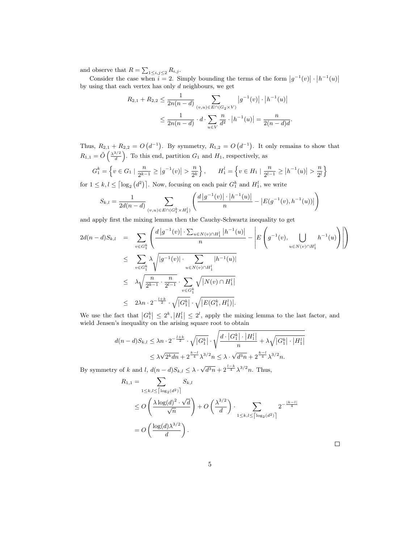and observe that  $R = \sum_{1 \leq i,j \leq 2} R_{i,j}$ .

Consider the case when  $i = 2$ . Simply bounding the terms of the form  $|g^{-1}(v)| \cdot |h^{-1}(u)|$ by using that each vertex has only d neighbours, we get

$$
R_{2,1} + R_{2,2} \le \frac{1}{2n(n-d)} \sum_{(v,u)\in E \cap (G_2 \times V)} |g^{-1}(v)| \cdot |h^{-1}(u)|
$$
  

$$
\le \frac{1}{2n(n-d)} \cdot d \cdot \sum_{u \in V} \frac{n}{d^2} \cdot |h^{-1}(u)| = \frac{n}{2(n-d)d}
$$

.

Thus,  $R_{2,1} + R_{2,2} = O(d^{-1})$ . By symmetry,  $R_{1,2} = O(d^{-1})$ . It only remains to show that  $R_{1,1} = \tilde{O}\left(\frac{\lambda^{3/2}}{d}\right)$  $\left(\frac{d^{3/2}}{d}\right)$ . To this end, partition  $G_1$  and  $H_1$ , respectively, as

$$
G_1^k = \left\{ v \in G_1 \mid \frac{n}{2^{k-1}} \ge |g^{-1}(v)| > \frac{n}{2^k} \right\}, \qquad H_1^l = \left\{ v \in H_1 \mid \frac{n}{2^{l-1}} \ge |h^{-1}(u)| > \frac{n}{2^l} \right\}
$$

for  $1 \leq k, l \leq \lceil \log_2(d^2) \rceil$ . Now, focusing on each pair  $G_1^k$  and  $H_1^l$ , we write

$$
S_{k,l} = \frac{1}{2d(n-d)} \sum_{(v,u)\in E \cap (G_1^k \times H_1^l)} \left( \frac{d|g^{-1}(v)| \cdot |h^{-1}(u)|}{n} - |E(g^{-1}(v), h^{-1}(u))| \right)
$$

and apply first the mixing lemma then the Cauchy-Schwartz inequality to get

$$
2d(n-d)S_{k,l} = \sum_{v \in G_1^k} \left( \frac{d |g^{-1}(v)| \cdot \sum_{u \in N(v) \cap H_1^l} |h^{-1}(u)|}{n} - \left| E \left( g^{-1}(v), \bigcup_{u \in N(v) \cap H_1^l} h^{-1}(u) \right) \right| \right)
$$
  

$$
\leq \sum_{v \in G_1^k} \lambda \sqrt{|g^{-1}(v)| \cdot \sum_{u \in N(v) \cap H_1^l} |h^{-1}(u)|}
$$
  

$$
\leq \lambda \sqrt{\frac{n}{2^{k-1}} \cdot \frac{n}{2^{l-1}}} \cdot \sum_{v \in G_1^k} \sqrt{|N(v) \cap H_1^l|}
$$
  

$$
\leq 2\lambda n \cdot 2^{-\frac{l+k}{2}} \cdot \sqrt{|G_1^k|} \cdot \sqrt{|E(G_1^k, H_1^l)|}.
$$

We use the fact that  $|G_1^k| \leq 2^k, |H_1^l| \leq 2^l$ , apply the mixing lemma to the last factor, and wield Jensen's inequality on the arising square root to obtain

$$
d(n-d)S_{k,l} \leq \lambda n \cdot 2^{-\frac{l+k}{2}} \cdot \sqrt{|G_1^k|} \cdot \sqrt{\frac{d \cdot |G_1^k| \cdot |H_1^l|}{n} + \lambda \sqrt{|G_1^k| \cdot |H_1^l|}} \leq \lambda \sqrt{2^k dn} + 2^{\frac{k-l}{4}} \lambda^{3/2} n \leq \lambda \cdot \sqrt{d^3 n} + 2^{\frac{k-l}{4}} \lambda^{3/2} n.
$$

By symmetry of k and l,  $d(n-d)S_{k,l} \leq \lambda \cdot \sqrt{d^3n} + 2^{\frac{l-k}{4}} \lambda^{3/2} n$ . Thus,

$$
R_{1,1} = \sum_{1 \le k,l \le \lceil \log_2(d^2) \rceil} S_{k,l}
$$
  
\n
$$
\le O\left(\frac{\lambda \log(d)^2 \cdot \sqrt{d}}{\sqrt{n}}\right) + O\left(\frac{\lambda^{3/2}}{d}\right) \cdot \sum_{1 \le k,l \le \lceil \log_2(d^2) \rceil} 2^{-\frac{|k-l|}{4}}
$$
  
\n
$$
= O\left(\frac{\log(d)\lambda^{3/2}}{d}\right).
$$

 $\Box$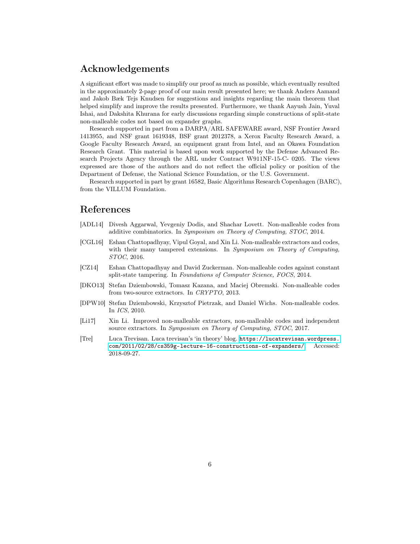# Acknowledgements

A significant effort was made to simplify our proof as much as possible, which eventually resulted in the approximately 2-page proof of our main result presented here; we thank Anders Aamand and Jakob Bæk Tejs Knudsen for suggestions and insights regarding the main theorem that helped simplify and improve the results presented. Furthermore, we thank Aayush Jain, Yuval Ishai, and Dakshita Khurana for early discussions regarding simple constructions of split-state non-malleable codes not based on expander graphs.

Research supported in part from a DARPA/ARL SAFEWARE award, NSF Frontier Award 1413955, and NSF grant 1619348, BSF grant 2012378, a Xerox Faculty Research Award, a Google Faculty Research Award, an equipment grant from Intel, and an Okawa Foundation Research Grant. This material is based upon work supported by the Defense Advanced Research Projects Agency through the ARL under Contract W911NF-15-C- 0205. The views expressed are those of the authors and do not reflect the official policy or position of the Department of Defense, the National Science Foundation, or the U.S. Government.

Research supported in part by grant 16582, Basic Algorithms Research Copenhagen (BARC), from the VILLUM Foundation.

# References

- <span id="page-5-2"></span>[ADL14] Divesh Aggarwal, Yevgeniy Dodis, and Shachar Lovett. Non-malleable codes from additive combinatorics. In Symposium on Theory of Computing, STOC, 2014.
- <span id="page-5-4"></span>[CGL16] Eshan Chattopadhyay, Vipul Goyal, and Xin Li. Non-malleable extractors and codes, with their many tampered extensions. In Symposium on Theory of Computing, STOC, 2016.
- <span id="page-5-3"></span>[CZ14] Eshan Chattopadhyay and David Zuckerman. Non-malleable codes against constant split-state tampering. In Foundations of Computer Science, FOCS, 2014.
- <span id="page-5-1"></span>[DKO13] Stefan Dziembowski, Tomasz Kazana, and Maciej Obremski. Non-malleable codes from two-source extractors. In CRYPTO, 2013.
- <span id="page-5-0"></span>[DPW10] Stefan Dziembowski, Krzysztof Pietrzak, and Daniel Wichs. Non-malleable codes. In ICS, 2010.
- <span id="page-5-5"></span>[Li17] Xin Li. Improved non-malleable extractors, non-malleable codes and independent source extractors. In Symposium on Theory of Computing, STOC, 2017.
- <span id="page-5-6"></span>[Tre] Luca Trevisan. Luca trevisan's 'in theory' blog. [https://lucatrevisan.wordpress.](https://lucatrevisan.wordpress.com/2011/02/28/cs359g-lecture-16-constructions-of-expanders/) [com/2011/02/28/cs359g-lecture-16-constructions-of-expanders/](https://lucatrevisan.wordpress.com/2011/02/28/cs359g-lecture-16-constructions-of-expanders/). Accessed: 2018-09-27.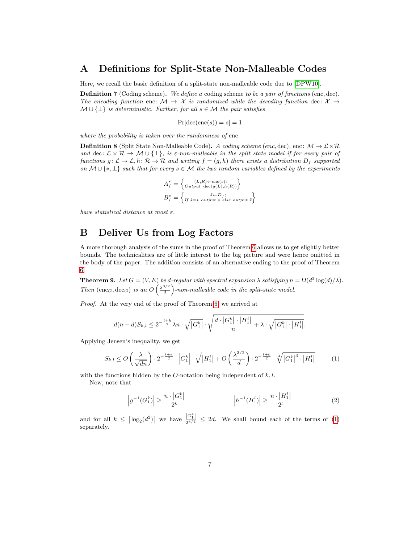# A Definitions for Split-State Non-Malleable Codes

Here, we recall the basic definition of a split-state non-malleable code due to [\[DPW10\]](#page-5-0).

**Definition 7** (Coding scheme). We define a coding scheme to be a pair of functions (enc, dec). The encoding function enc:  $\mathcal{M} \to \mathcal{X}$  is randomized while the decoding function dec:  $\mathcal{X} \to$  $M \cup \{\perp\}$  is deterministic. Further, for all  $s \in \mathcal{M}$  the pair satisfies

$$
Pr[dec(enc(s)) = s] = 1
$$

where the probability is taken over the randomness of enc.

**Definition 8** (Split State Non-Malleable Code). A coding scheme (enc, dec), enc:  $\mathcal{M} \to \mathcal{L} \times \mathcal{R}$ and dec:  $\mathcal{L} \times \mathcal{R} \to \mathcal{M} \cup \{\perp\},$  is  $\varepsilon$ -non-malleable in the split state model if for every pair of functions  $g: \mathcal{L} \to \mathcal{L}$ ,  $h: \mathcal{R} \to \mathcal{R}$  and writing  $f = (g, h)$  there exists a distribution  $D_f$  supported on  $M \cup \{*, \perp\}$  such that for every  $s \in M$  the two random variables defined by the experiments

$$
A_f^s = \left\{ \begin{matrix} (L,R) \leftarrow \text{enc}(s); \\ \text{Output } \text{dec}(g(L), h(R)) \end{matrix} \right\}
$$

$$
B_f^s = \left\{ \begin{matrix} \tilde{s} \leftarrow D_f; \\ \text{If } \tilde{s} = * \text{ output } s \text{ else output } \tilde{s} \end{matrix} \right\}
$$

have statistical distance at most  $\varepsilon$ .

# B Deliver Us from Log Factors

A more thorough analysis of the sums in the proof of Theorem [6](#page-3-0) allows us to get slightly better bounds. The technicalities are of little interest to the big picture and were hence omitted in the body of the paper. The addition consists of an alternative ending to the proof of Theorem [6.](#page-3-0)

<span id="page-6-0"></span>**Theorem 9.** Let  $G = (V, E)$  be d-regular with spectral expansion  $\lambda$  satisfying  $n = \Omega(d^3 \log(d)/\lambda)$ . Then  $(\text{enc}_G, \text{dec}_G)$  is an  $O\left(\frac{\lambda^{3/2}}{d}\right)$  $\frac{d^{3/2}}{d}$ -non-malleable code in the split-state model.

Proof. At the very end of the proof of Theorem [6,](#page-3-0) we arrived at

$$
d(n-d)S_{k,l}\leq 2^{-\frac{l+k}{2}}\lambda n\cdot\sqrt{\left|G_1^k\right|\cdot\sqrt{\frac{d\cdot\left|G_1^k\right|\cdot\left|H_1^l\right|}{n}}+\lambda\cdot\sqrt{\left|G_1^k\right|\cdot\left|H_1^l\right|}.
$$

Applying Jensen's inequality, we get

$$
S_{k,l} \le O\left(\frac{\lambda}{\sqrt{dn}}\right) \cdot 2^{-\frac{l+k}{2}} \cdot \left|G_1^k\right| \cdot \sqrt{|H_1^l|} + O\left(\frac{\lambda^{3/2}}{d}\right) \cdot 2^{-\frac{l+k}{2}} \cdot \sqrt[4]{|G_1^k|^3 \cdot |H_1^l|} \tag{1}
$$

with the functions hidden by the *O*-notation being independent of  $k, l$ .

Now, note that

<span id="page-6-2"></span><span id="page-6-1"></span>
$$
\left| g^{-1}(G_1^k) \right| \ge \frac{n \cdot |G_1^k|}{2^k} \qquad \qquad \left| h^{-1}(H_1^l) \right| \ge \frac{n \cdot |H_1^l|}{2^l} \tag{2}
$$

and for all  $k \leq \lceil \log_2(d^2) \rceil$  we have  $\frac{|G_1^k|}{2^{k/2}} \leq 2d$ . We shall bound each of the terms of [\(1\)](#page-6-1) separately.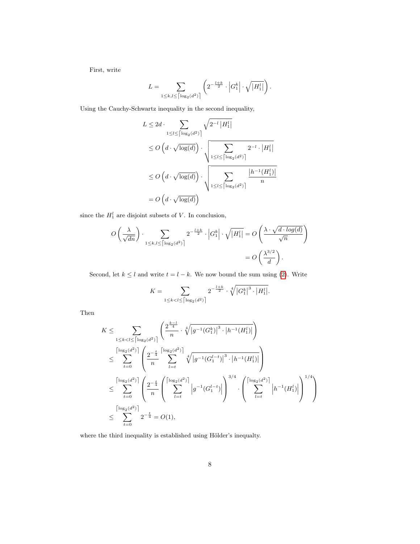First, write

$$
L = \sum_{1 \leq k,l \leq \left \lceil \log_2(d^2) \right \rceil} \left( 2^{-\frac{l+k}{2}} \cdot \left| G_1^k \right| \cdot \sqrt{|H_1^l|} \right).
$$

Using the Cauchy-Schwartz inequality in the second inequality,

$$
L \le 2d \cdot \sum_{1 \le l \le \lceil \log_2(d^2) \rceil} \sqrt{2^{-l} |H_1^l|}
$$
  
\n
$$
\le O\left(d \cdot \sqrt{\log(d)}\right) \cdot \sqrt{\sum_{1 \le l \le \lceil \log_2(d^2) \rceil} 2^{-l} \cdot |H_1^l|}
$$
  
\n
$$
\le O\left(d \cdot \sqrt{\log(d)}\right) \cdot \sqrt{\sum_{1 \le l \le \lceil \log_2(d^2) \rceil} \frac{|h^{-1}(H_1^l)|}{n}}
$$
  
\n
$$
= O\left(d \cdot \sqrt{\log(d)}\right)
$$

since the  $H_1^l$  are disjoint subsets of V. In conclusion,

$$
O\left(\frac{\lambda}{\sqrt{dn}}\right) \cdot \sum_{1 \le k,l \le \lceil \log_2(d^2) \rceil} 2^{-\frac{l+k}{2}} \cdot \left|G_1^k\right| \cdot \sqrt{|H_1^l|} = O\left(\frac{\lambda \cdot \sqrt{d \cdot \log(d)}}{\sqrt{n}}\right)
$$

$$
= O\left(\frac{\lambda^{3/2}}{d}\right).
$$

Second, let  $k \leq l$  and write  $t = l - k$ . We now bound the sum using [\(2\)](#page-6-2). Write

$$
K = \sum_{1 \leq k < l \leq \left\lceil \log_2(d^2) \right\rceil} 2^{-\frac{l+k}{2}} \cdot \sqrt[4]{\left|G_1^k\right|^3 \cdot \left|H_1^l\right|}.
$$

Then

$$
K \leq \sum_{1 \leq k < l \leq \lceil \log_2(d^2) \rceil} \left( \frac{2^{\frac{k-l}{4}}}{n} \cdot \sqrt[4]{|g^{-1}(G_1^k)|^3 \cdot |h^{-1}(H_1^l)|} \right)
$$
\n
$$
\leq \sum_{t=0}^{\lceil \log_2(d^2) \rceil} \left( \frac{2^{-\frac{t}{4}}}{n} \sum_{l=t}^{\lceil \log_2(d^2) \rceil} \sqrt[4]{|g^{-1}(G_1^{l-t})|^3 \cdot |h^{-1}(H_1^l)|} \right)
$$
\n
$$
\leq \sum_{t=0}^{\lceil \log_2(d^2) \rceil} \left( \frac{2^{-\frac{t}{4}}}{n} \left( \sum_{l=t}^{\lceil \log_2(d^2) \rceil} |g^{-1}(G_1^{l-t})| \right)^{3/4} \cdot \left( \sum_{l=t}^{\lceil \log_2(d^2) \rceil} |h^{-1}(H_1^l)| \right)^{1/4} \right)
$$
\n
$$
\leq \sum_{t=0}^{\lceil \log_2(d^2) \rceil} 2^{-\frac{t}{4}} = O(1),
$$

where the third inequality is established using Hölder's inequalty.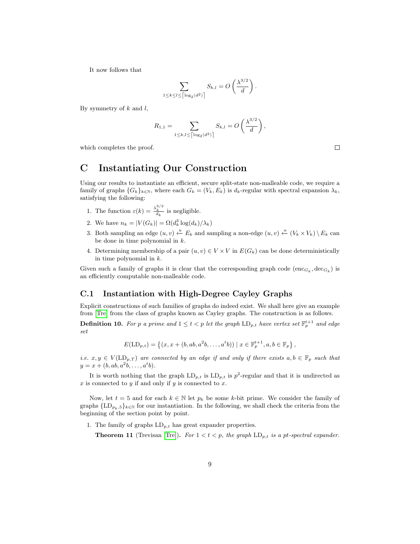It now follows that

$$
\sum_{1 \leq k \leq l \leq \lceil \log_2(d^2) \rceil} S_{k,l} = O\left(\frac{\lambda^{3/2}}{d}\right).
$$

By symmetry of  $k$  and  $l$ ,

$$
R_{1,1} = \sum_{1 \le k,l \le \lceil \log_2(d^2) \rceil} S_{k,l} = O\left(\frac{\lambda^{3/2}}{d}\right),
$$

which completes the proof.

# C Instantiating Our Construction

Using our results to instantiate an efficient, secure split-state non-malleable code, we require a family of graphs  $\{G_k\}_{k\in\mathbb{N}}$ , where each  $G_k = (V_k, E_k)$  is  $d_k$ -regular with spectral expansion  $\lambda_k$ , satisfying the following:

- 1. The function  $\varepsilon(k) = \frac{\lambda_k^{3/2}}{d_k}$  is negligible.
- 2. We have  $n_k = |V(G_k)| = \Omega(d_k^3 \log(d_k)/\lambda_k)$
- 3. Both sampling an edge  $(u, v) \stackrel{u}{\leftarrow} E_k$  and sampling a non-edge  $(u, v) \stackrel{u}{\leftarrow} (V_k \times V_k) \setminus E_k$  can be done in time polynomial in k.
- 4. Determining membership of a pair  $(u, v) \in V \times V$  in  $E(G_k)$  can be done deterministically in time polynomial in k.

Given such a family of graphs it is clear that the corresponding graph code  $(\mathrm{enc}_{G_k}, \mathrm{dec}_{G_k})$  is an efficiently computable non-malleable code.

#### C.1 Instantiation with High-Degree Cayley Graphs

Explicit constructions of such families of graphs do indeed exist. We shall here give an example from [\[Tre\]](#page-5-6) from the class of graphs known as Cayley graphs. The construction is as follows.

**Definition 10.** For p a prime and  $1 \leq t < p$  let the graph  $\text{LD}_{p,t}$  have vertex set  $\mathbb{F}_p^{t+1}$  and edge set

$$
E(\text{LD}_{p,t}) = \left\{ (x, x + (b, ab, a^{2}b, \dots, a^{t}b)) \mid x \in \mathbb{F}_{p}^{t+1}, a, b \in \mathbb{F}_{p} \right\},\
$$

i.e.  $x, y \in V(\text{LD}_{p,T})$  are connected by an edge if and only if there exists  $a, b \in \mathbb{F}_p$  such that  $y = x + (b, ab, a^2b, \dots, a^t b).$ 

It is worth nothing that the graph  $LD_{p,t}$  is  $LD_{p,t}$  is  $p^2$ -regular and that it is undirected as  $x$  is connected to  $y$  if and only if  $y$  is connected to  $x$ .

Now, let  $t = 5$  and for each  $k \in \mathbb{N}$  let  $p_k$  be some k-bit prime. We consider the family of graphs  ${L}$ D<sub> $p_k$ ,5</sub>} $_{k\in\mathbb{N}}$  for our instantiation. In the following, we shall check the criteria from the beginning of the section point by point.

1. The family of graphs  $LD_{p,t}$  has great expander properties.

**Theorem 11** (Trevisan [\[Tre\]](#page-5-6)). For  $1 < t < p$ , the graph  $LD_{p,t}$  is a pt-spectral expander.

 $\Box$